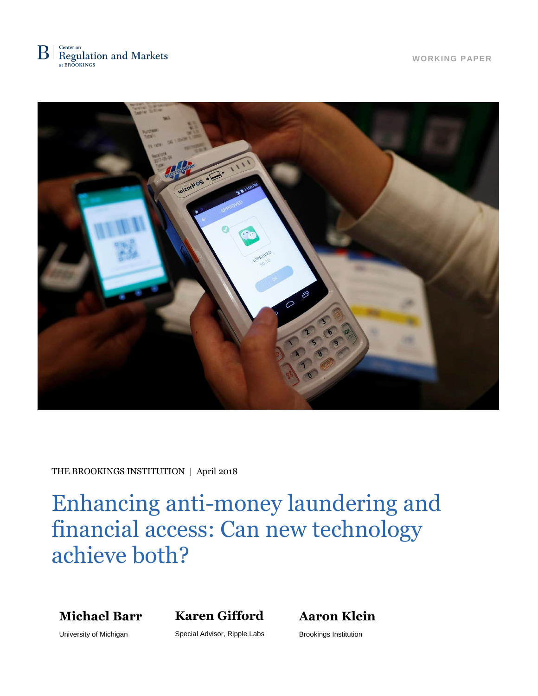

**WORKING PAPER**



THE BROOKINGS INSTITUTION | April 2018

Enhancing anti-money laundering and financial access: Can new technology achieve both?

**Michael Barr**

**Karen Gifford**

**Aaron Klein**

University of Michigan

Special Advisor, Ripple Labs

Brookings Institution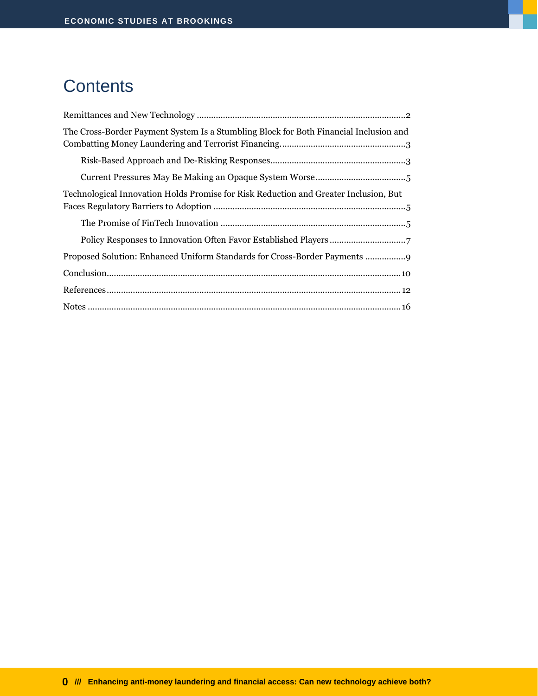# **Contents**

| The Cross-Border Payment System Is a Stumbling Block for Both Financial Inclusion and |
|---------------------------------------------------------------------------------------|
|                                                                                       |
|                                                                                       |
| Technological Innovation Holds Promise for Risk Reduction and Greater Inclusion, But  |
|                                                                                       |
|                                                                                       |
| Proposed Solution: Enhanced Uniform Standards for Cross-Border Payments               |
|                                                                                       |
|                                                                                       |
|                                                                                       |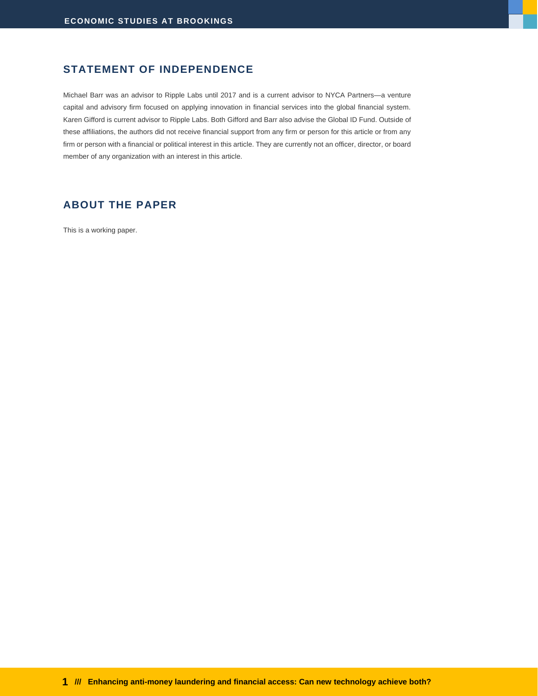#### **STATEMENT OF INDEPENDENCE**

Michael Barr was an advisor to Ripple Labs until 2017 and is a current advisor to NYCA Partners—a venture capital and advisory firm focused on applying innovation in financial services into the global financial system. Karen Gifford is current advisor to Ripple Labs. Both Gifford and Barr also advise the Global ID Fund. Outside of these affiliations, the authors did not receive financial support from any firm or person for this article or from any firm or person with a financial or political interest in this article. They are currently not an officer, director, or board member of any organization with an interest in this article.

#### **ABOUT THE PAPER**

This is a working paper.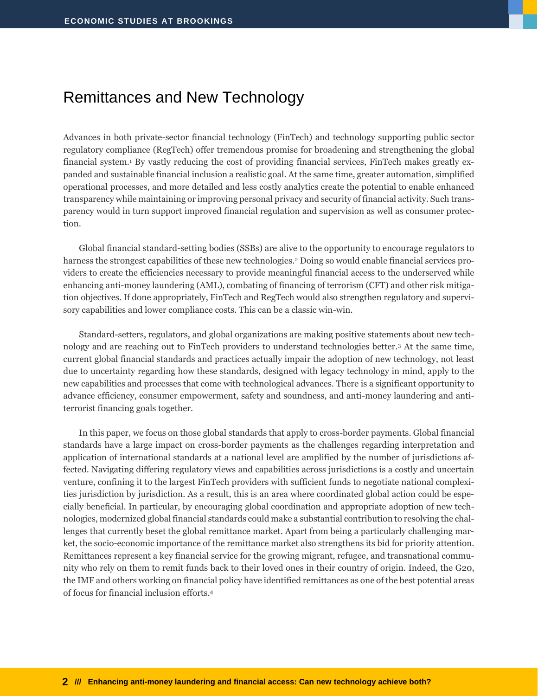## <span id="page-3-0"></span>Remittances and New Technology

Advances in both private-sector financial technology (FinTech) and technology supporting public sector regulatory compliance (RegTech) offer tremendous promise for broadening and strengthening the global financial system.<sup>1</sup> By vastly reducing the cost of providing financial services, FinTech makes greatly expanded and sustainable financial inclusion a realistic goal. At the same time, greater automation, simplified operational processes, and more detailed and less costly analytics create the potential to enable enhanced transparency while maintaining or improving personal privacy and security of financial activity. Such transparency would in turn support improved financial regulation and supervision as well as consumer protection.

Global financial standard-setting bodies (SSBs) are alive to the opportunity to encourage regulators to harness the strongest capabilities of these new technologies.<sup>2</sup> Doing so would enable financial services providers to create the efficiencies necessary to provide meaningful financial access to the underserved while enhancing anti-money laundering (AML), combating of financing of terrorism (CFT) and other risk mitigation objectives. If done appropriately, FinTech and RegTech would also strengthen regulatory and supervisory capabilities and lower compliance costs. This can be a classic win-win.

Standard-setters, regulators, and global organizations are making positive statements about new technology and are reaching out to FinTech providers to understand technologies better.<sup>3</sup> At the same time, current global financial standards and practices actually impair the adoption of new technology, not least due to uncertainty regarding how these standards, designed with legacy technology in mind, apply to the new capabilities and processes that come with technological advances. There is a significant opportunity to advance efficiency, consumer empowerment, safety and soundness, and anti-money laundering and antiterrorist financing goals together.

In this paper, we focus on those global standards that apply to cross-border payments. Global financial standards have a large impact on cross-border payments as the challenges regarding interpretation and application of international standards at a national level are amplified by the number of jurisdictions affected. Navigating differing regulatory views and capabilities across jurisdictions is a costly and uncertain venture, confining it to the largest FinTech providers with sufficient funds to negotiate national complexities jurisdiction by jurisdiction. As a result, this is an area where coordinated global action could be especially beneficial. In particular, by encouraging global coordination and appropriate adoption of new technologies, modernized global financial standards could make a substantial contribution to resolving the challenges that currently beset the global remittance market. Apart from being a particularly challenging market, the socio-economic importance of the remittance market also strengthens its bid for priority attention. Remittances represent a key financial service for the growing migrant, refugee, and transnational community who rely on them to remit funds back to their loved ones in their country of origin. Indeed, the G20, the IMF and others working on financial policy have identified remittances as one of the best potential areas of focus for financial inclusion efforts.4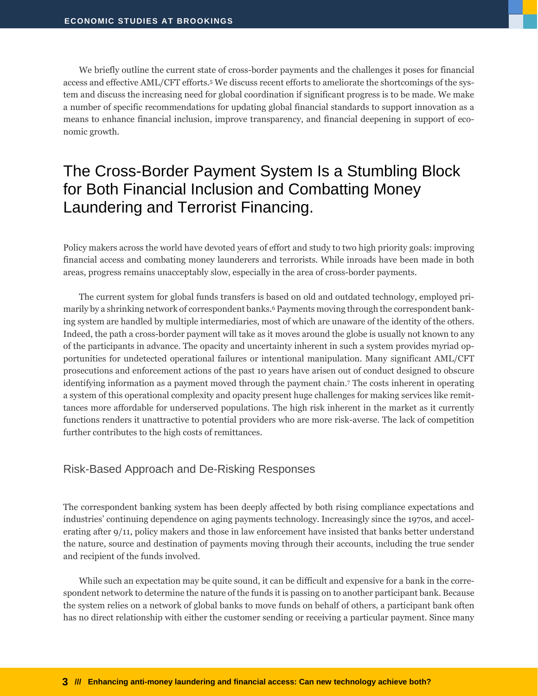We briefly outline the current state of cross-border payments and the challenges it poses for financial access and effective AML/CFT efforts.<sup>5</sup> We discuss recent efforts to ameliorate the shortcomings of the system and discuss the increasing need for global coordination if significant progress is to be made. We make a number of specific recommendations for updating global financial standards to support innovation as a means to enhance financial inclusion, improve transparency, and financial deepening in support of economic growth.

## <span id="page-4-0"></span>The Cross-Border Payment System Is a Stumbling Block for Both Financial Inclusion and Combatting Money Laundering and Terrorist Financing.

Policy makers across the world have devoted years of effort and study to two high priority goals: improving financial access and combating money launderers and terrorists. While inroads have been made in both areas, progress remains unacceptably slow, especially in the area of cross-border payments.

The current system for global funds transfers is based on old and outdated technology, employed primarily by a shrinking network of correspondent banks. <sup>6</sup> Payments moving through the correspondent banking system are handled by multiple intermediaries, most of which are unaware of the identity of the others. Indeed, the path a cross-border payment will take as it moves around the globe is usually not known to any of the participants in advance. The opacity and uncertainty inherent in such a system provides myriad opportunities for undetected operational failures or intentional manipulation. Many significant AML/CFT prosecutions and enforcement actions of the past 10 years have arisen out of conduct designed to obscure identifying information as a payment moved through the payment chain.<sup>7</sup> The costs inherent in operating a system of this operational complexity and opacity present huge challenges for making services like remittances more affordable for underserved populations. The high risk inherent in the market as it currently functions renders it unattractive to potential providers who are more risk-averse. The lack of competition further contributes to the high costs of remittances.

#### <span id="page-4-1"></span>Risk-Based Approach and De-Risking Responses

The correspondent banking system has been deeply affected by both rising compliance expectations and industries' continuing dependence on aging payments technology. Increasingly since the 1970s, and accelerating after 9/11, policy makers and those in law enforcement have insisted that banks better understand the nature, source and destination of payments moving through their accounts, including the true sender and recipient of the funds involved.

While such an expectation may be quite sound, it can be difficult and expensive for a bank in the correspondent network to determine the nature of the funds it is passing on to another participant bank. Because the system relies on a network of global banks to move funds on behalf of others, a participant bank often has no direct relationship with either the customer sending or receiving a particular payment. Since many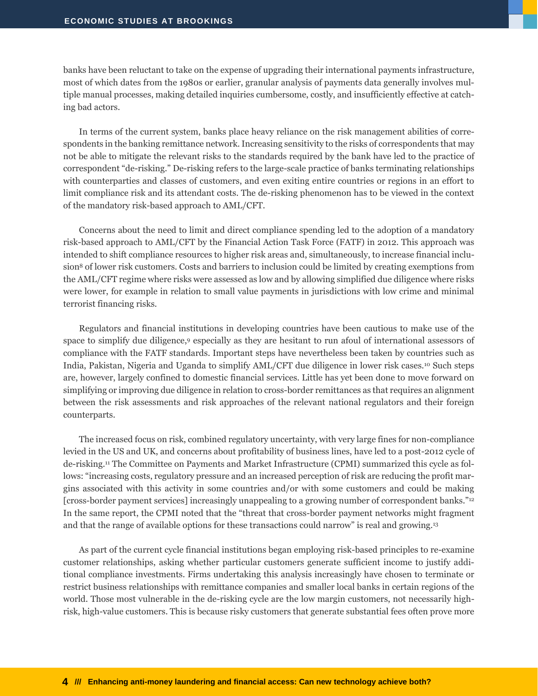banks have been reluctant to take on the expense of upgrading their international payments infrastructure, most of which dates from the 1980s or earlier, granular analysis of payments data generally involves multiple manual processes, making detailed inquiries cumbersome, costly, and insufficiently effective at catching bad actors.

In terms of the current system, banks place heavy reliance on the risk management abilities of correspondents in the banking remittance network. Increasing sensitivity to the risks of correspondents that may not be able to mitigate the relevant risks to the standards required by the bank have led to the practice of correspondent "de-risking." De-risking refers to the large-scale practice of banks terminating relationships with counterparties and classes of customers, and even exiting entire countries or regions in an effort to limit compliance risk and its attendant costs. The de-risking phenomenon has to be viewed in the context of the mandatory risk-based approach to AML/CFT.

Concerns about the need to limit and direct compliance spending led to the adoption of a mandatory risk-based approach to AML/CFT by the Financial Action Task Force (FATF) in 2012. This approach was intended to shift compliance resources to higher risk areas and, simultaneously, to increase financial inclusion<sup>8</sup> of lower risk customers. Costs and barriers to inclusion could be limited by creating exemptions from the AML/CFT regime where risks were assessed as low and by allowing simplified due diligence where risks were lower, for example in relation to small value payments in jurisdictions with low crime and minimal terrorist financing risks.

Regulators and financial institutions in developing countries have been cautious to make use of the space to simplify due diligence,<sup>9</sup> especially as they are hesitant to run afoul of international assessors of compliance with the FATF standards. Important steps have nevertheless been taken by countries such as India, Pakistan, Nigeria and Uganda to simplify AML/CFT due diligence in lower risk cases.<sup>10</sup> Such steps are, however, largely confined to domestic financial services. Little has yet been done to move forward on simplifying or improving due diligence in relation to cross-border remittances as that requires an alignment between the risk assessments and risk approaches of the relevant national regulators and their foreign counterparts.

The increased focus on risk, combined regulatory uncertainty, with very large fines for non-compliance levied in the US and UK, and concerns about profitability of business lines, have led to a post-2012 cycle of de-risking.<sup>11</sup> The Committee on Payments and Market Infrastructure (CPMI) summarized this cycle as follows: "increasing costs, regulatory pressure and an increased perception of risk are reducing the profit margins associated with this activity in some countries and/or with some customers and could be making [cross-border payment services] increasingly unappealing to a growing number of correspondent banks."<sup>12</sup> In the same report, the CPMI noted that the "threat that cross-border payment networks might fragment and that the range of available options for these transactions could narrow" is real and growing.<sup>13</sup>

As part of the current cycle financial institutions began employing risk-based principles to re-examine customer relationships, asking whether particular customers generate sufficient income to justify additional compliance investments. Firms undertaking this analysis increasingly have chosen to terminate or restrict business relationships with remittance companies and smaller local banks in certain regions of the world. Those most vulnerable in the de-risking cycle are the low margin customers, not necessarily highrisk, high-value customers. This is because risky customers that generate substantial fees often prove more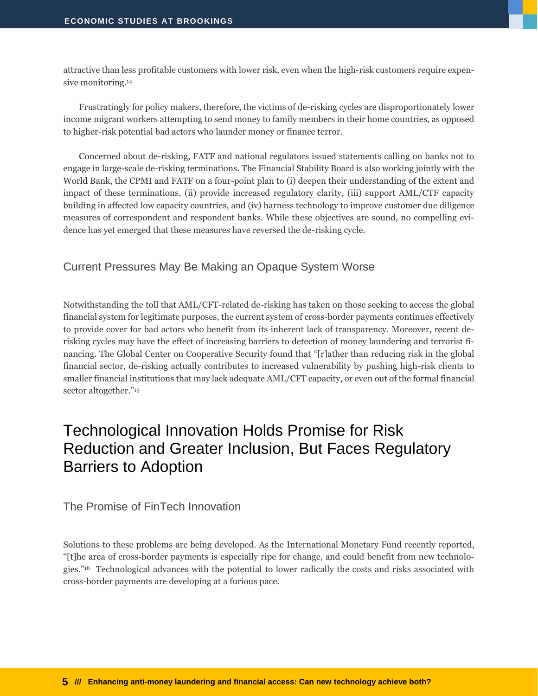attractive than less profitable customers with lower risk, even when the high-risk customers require expensive monitoring.<sup>14</sup>

Frustratingly for policy makers, therefore, the victims of de-risking cycles are disproportionately lower income migrant workers attempting to send money to family members in their home countries, as opposed to higher-risk potential bad actors who launder money or finance terror.

Concerned about de-risking, FATF and national regulators issued statements calling on banks not to engage in large-scale de-risking terminations. The Financial Stability Board is also working jointly with the World Bank, the CPMI and FATF on a four-point plan to (i) deepen their understanding of the extent and impact of these terminations, (ii) provide increased regulatory clarity, (iii) support AML/CTF capacity building in affected low capacity countries, and (iv) harness technology to improve customer due diligence measures of correspondent and respondent banks. While these objectives are sound, no compelling evidence has yet emerged that these measures have reversed the de-risking cycle.

#### <span id="page-6-0"></span>Current Pressures May Be Making an Opaque System Worse

Notwithstanding the toll that AML/CFT-related de-risking has taken on those seeking to access the global financial system for legitimate purposes, the current system of cross-border payments continues effectively to provide cover for bad actors who benefit from its inherent lack of transparency. Moreover, recent derisking cycles may have the effect of increasing barriers to detection of money laundering and terrorist financing. The Global Center on Cooperative Security found that "[r]ather than reducing risk in the global financial sector, de-risking actually contributes to increased vulnerability by pushing high-risk clients to smaller financial institutions that may lack adequate AML/CFT capacity, or even out of the formal financial sector altogether."<sup>15</sup>

### <span id="page-6-1"></span>Technological Innovation Holds Promise for Risk Reduction and Greater Inclusion, But Faces Regulatory Barriers to Adoption

<span id="page-6-2"></span>The Promise of FinTech Innovation

Solutions to these problems are being developed. As the International Monetary Fund recently reported, "[t]he area of cross-border payments is especially ripe for change, and could benefit from new technologies."16 Technological advances with the potential to lower radically the costs and risks associated with cross-border payments are developing at a furious pace.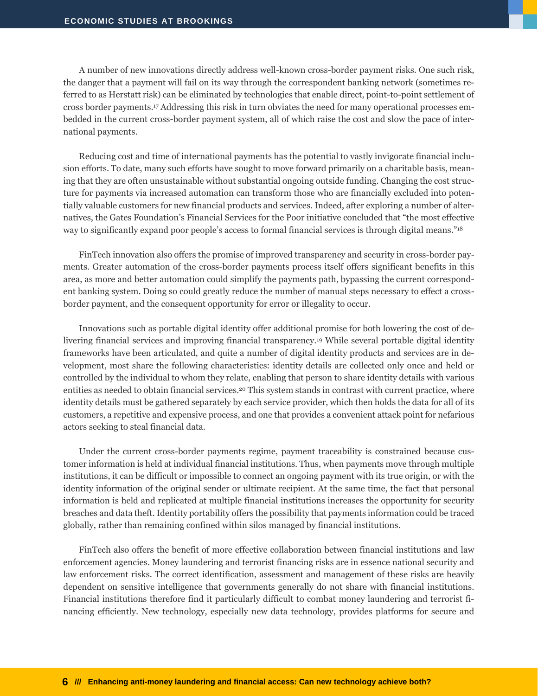A number of new innovations directly address well-known cross-border payment risks. One such risk, the danger that a payment will fail on its way through the correspondent banking network (sometimes referred to as Herstatt risk) can be eliminated by technologies that enable direct, point-to-point settlement of cross border payments.<sup>17</sup> Addressing this risk in turn obviates the need for many operational processes embedded in the current cross-border payment system, all of which raise the cost and slow the pace of international payments.

Reducing cost and time of international payments has the potential to vastly invigorate financial inclusion efforts. To date, many such efforts have sought to move forward primarily on a charitable basis, meaning that they are often unsustainable without substantial ongoing outside funding. Changing the cost structure for payments via increased automation can transform those who are financially excluded into potentially valuable customers for new financial products and services. Indeed, after exploring a number of alternatives, the Gates Foundation's Financial Services for the Poor initiative [concluded that](https://www.gatesfoundation.org/What-We-Do/Global-Development/Financial-Services-for-the-Poor) "the most effective way to significantly expand poor people's access to formal financial services is through digital means."<sup>18</sup>

FinTech innovation also offers the promise of improved transparency and security in cross-border payments. Greater automation of the cross-border payments process itself offers significant benefits in this area, as more and better automation could simplify the payments path, bypassing the current correspondent banking system. Doing so could greatly reduce the number of manual steps necessary to effect a crossborder payment, and the consequent opportunity for error or illegality to occur.

Innovations such as portable digital identity offer additional promise for both lowering the cost of delivering financial services and improving financial transparency.<sup>19</sup> While several portable digital identity frameworks have been articulated, and quite a number of digital identity products and services are in development, most share the following characteristics: identity details are collected only once and held or controlled by the individual to whom they relate, enabling that person to share identity details with various entities as needed to obtain financial services.<sup>20</sup> This system stands in contrast with current practice, where identity details must be gathered separately by each service provider, which then holds the data for all of its customers, a repetitive and expensive process, and one that provides a convenient attack point for nefarious actors seeking to steal financial data.

Under the current cross-border payments regime, payment traceability is constrained because customer information is held at individual financial institutions. Thus, when payments move through multiple institutions, it can be difficult or impossible to connect an ongoing payment with its true origin, or with the identity information of the original sender or ultimate recipient. At the same time, the fact that personal information is held and replicated at multiple financial institutions increases the opportunity for security breaches and data theft. Identity portability offers the possibility that payments information could be traced globally, rather than remaining confined within silos managed by financial institutions.

FinTech also offers the benefit of more effective collaboration between financial institutions and law enforcement agencies. Money laundering and terrorist financing risks are in essence national security and law enforcement risks. The correct identification, assessment and management of these risks are heavily dependent on sensitive intelligence that governments generally do not share with financial institutions. Financial institutions therefore find it particularly difficult to combat money laundering and terrorist financing efficiently. New technology, especially new data technology, provides platforms for secure and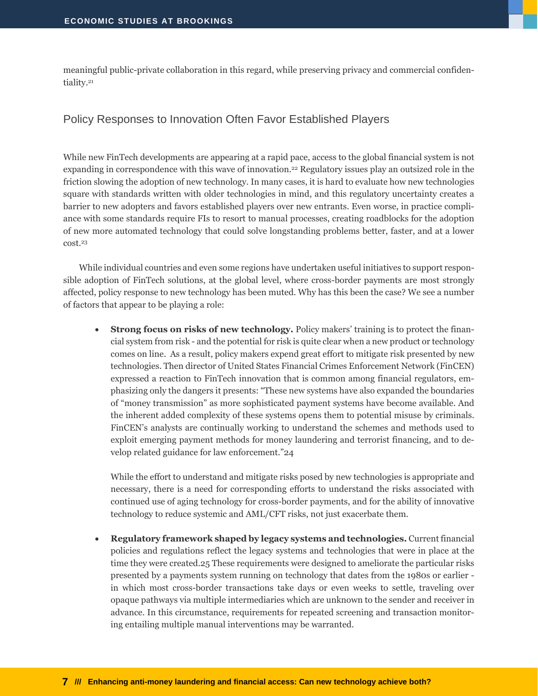<span id="page-8-0"></span>meaningful public-private collaboration in this regard, while preserving privacy and commercial confidentiality.<sup>21</sup>

#### Policy Responses to Innovation Often Favor Established Players

While new FinTech developments are appearing at a rapid pace, access to the global financial system is not expanding in correspondence with this wave of innovation. <sup>22</sup> Regulatory issues play an outsized role in the friction slowing the adoption of new technology. In many cases, it is hard to evaluate how new technologies square with standards written with older technologies in mind, and this regulatory uncertainty creates a barrier to new adopters and favors established players over new entrants. Even worse, in practice compliance with some standards require FIs to resort to manual processes, creating roadblocks for the adoption of new more automated technology that could solve longstanding problems better, faster, and at a lower cost.<sup>23</sup>

While individual countries and even some regions have undertaken useful initiatives to support responsible adoption of FinTech solutions, at the global level, where cross-border payments are most strongly affected, policy response to new technology has been muted. Why has this been the case? We see a number of factors that appear to be playing a role:

 **Strong focus on risks of new technology.** Policy makers' training is to protect the financial system from risk - and the potential for risk is quite clear when a new product or technology comes on line. As a result, policy makers expend great effort to mitigate risk presented by new technologies. Then director of United States Financial Crimes Enforcement Network (FinCEN) expressed a reaction to FinTech innovation that is common among financial regulators, emphasizing only the dangers it presents: "These new systems have also expanded the boundaries of "money transmission" as more sophisticated payment systems have become available. And the inherent added complexity of these systems opens them to potential misuse by criminals. FinCEN's analysts are continually working to understand the schemes and methods used to exploit emerging payment methods for money laundering and terrorist financing, and to develop related guidance for law enforcement."24

While the effort to understand and mitigate risks posed by new technologies is appropriate and necessary, there is a need for corresponding efforts to understand the risks associated with continued use of aging technology for cross-border payments, and for the ability of innovative technology to reduce systemic and AML/CFT risks, not just exacerbate them.

 **Regulatory framework shaped by legacy systems and technologies.** Current financial policies and regulations reflect the legacy systems and technologies that were in place at the time they were created.25 These requirements were designed to ameliorate the particular risks presented by a payments system running on technology that dates from the 1980s or earlier in which most cross-border transactions take days or even weeks to settle, traveling over opaque pathways via multiple intermediaries which are unknown to the sender and receiver in advance. In this circumstance, requirements for repeated screening and transaction monitoring entailing multiple manual interventions may be warranted.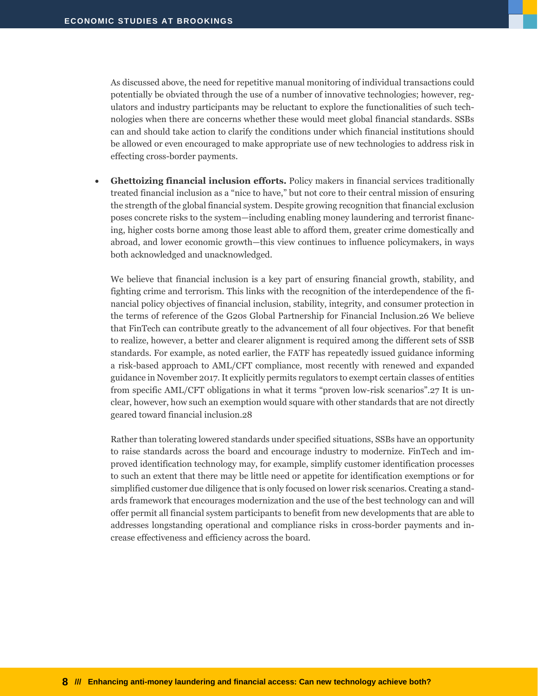As discussed above, the need for repetitive manual monitoring of individual transactions could potentially be obviated through the use of a number of innovative technologies; however, regulators and industry participants may be reluctant to explore the functionalities of such technologies when there are concerns whether these would meet global financial standards. SSBs can and should take action to clarify the conditions under which financial institutions should be allowed or even encouraged to make appropriate use of new technologies to address risk in effecting cross-border payments.

 **Ghettoizing financial inclusion efforts.** Policy makers in financial services traditionally treated financial inclusion as a "nice to have," but not core to their central mission of ensuring the strength of the global financial system. Despite growing recognition that financial exclusion poses concrete risks to the system—including enabling money laundering and terrorist financing, higher costs borne among those least able to afford them, greater crime domestically and abroad, and lower economic growth—this view continues to influence policymakers, in ways both acknowledged and unacknowledged.

We believe that financial inclusion is a key part of ensuring financial growth, stability, and fighting crime and terrorism. This links with the recognition of the interdependence of the financial policy objectives of financial inclusion, stability, integrity, and consumer protection in the terms of reference of the G20s Global Partnership for Financial Inclusion.26 We believe that FinTech can contribute greatly to the advancement of all four objectives. For that benefit to realize, however, a better and clearer alignment is required among the different sets of SSB standards. For example, as noted earlier, the FATF has repeatedly issued guidance informing a risk-based approach to AML/CFT compliance, most recently with renewed and expanded guidance in November 2017. It explicitly permits regulators to exempt certain classes of entities from specific AML/CFT obligations in what it terms "proven low-risk scenarios".27 It is unclear, however, how such an exemption would square with other standards that are not directly geared toward financial inclusion.28

Rather than tolerating lowered standards under specified situations, SSBs have an opportunity to raise standards across the board and encourage industry to modernize. FinTech and improved identification technology may, for example, simplify customer identification processes to such an extent that there may be little need or appetite for identification exemptions or for simplified customer due diligence that is only focused on lower risk scenarios. Creating a standards framework that encourages modernization and the use of the best technology can and will offer permit all financial system participants to benefit from new developments that are able to addresses longstanding operational and compliance risks in cross-border payments and increase effectiveness and efficiency across the board.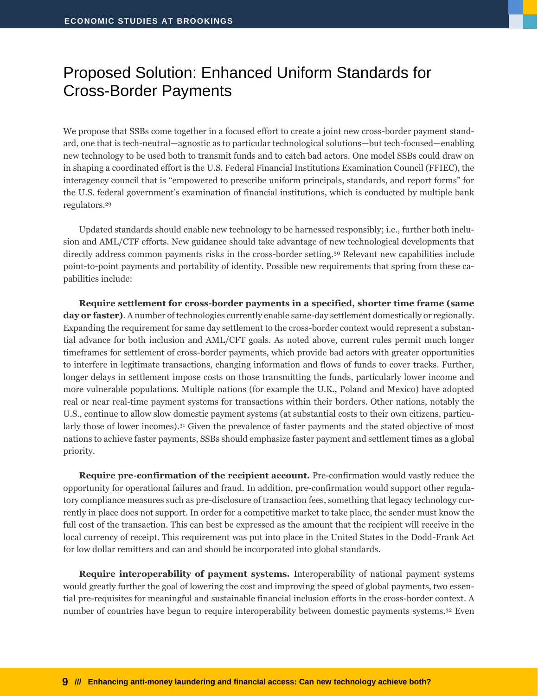### <span id="page-10-0"></span>Proposed Solution: Enhanced Uniform Standards for Cross-Border Payments

We propose that SSBs come together in a focused effort to create a joint new cross-border payment standard, one that is tech-neutral—agnostic as to particular technological solutions—but tech-focused—enabling new technology to be used both to transmit funds and to catch bad actors. One model SSBs could draw on in shaping a coordinated effort is the U.S. Federal Financial Institutions Examination Council (FFIEC), the interagency council that is "empowered to prescribe uniform principals, standards, and report forms" for the U.S. federal government's examination of financial institutions, which is conducted by multiple bank regulators.<sup>29</sup>

Updated standards should enable new technology to be harnessed responsibly; i.e., further both inclusion and AML/CTF efforts. New guidance should take advantage of new technological developments that directly address common payments risks in the cross-border setting.<sup>30</sup> Relevant new capabilities include point-to-point payments and portability of identity. Possible new requirements that spring from these capabilities include:

**Require settlement for cross-border payments in a specified, shorter time frame (same day or faster)**. A number of technologies currently enable same-day settlement domestically or regionally. Expanding the requirement for same day settlement to the cross-border context would represent a substantial advance for both inclusion and AML/CFT goals. As noted above, current rules permit much longer timeframes for settlement of cross-border payments, which provide bad actors with greater opportunities to interfere in legitimate transactions, changing information and flows of funds to cover tracks. Further, longer delays in settlement impose costs on those transmitting the funds, particularly lower income and more vulnerable populations. Multiple nations (for example the U.K., Poland and Mexico) have adopted real or near real-time payment systems for transactions within their borders. Other nations, notably the U.S., continue to allow slow domestic payment systems (at substantial costs to their own citizens, particularly those of lower incomes).<sup>31</sup> Given the prevalence of faster payments and the stated objective of most nations to achieve faster payments, SSBs should emphasize faster payment and settlement times as a global priority.

**Require pre-confirmation of the recipient account.** Pre-confirmation would vastly reduce the opportunity for operational failures and fraud. In addition, pre-confirmation would support other regulatory compliance measures such as pre-disclosure of transaction fees, something that legacy technology currently in place does not support. In order for a competitive market to take place, the sender must know the full cost of the transaction. This can best be expressed as the amount that the recipient will receive in the local currency of receipt. This requirement was put into place in the United States in the Dodd-Frank Act for low dollar remitters and can and should be incorporated into global standards.

**Require interoperability of payment systems.** Interoperability of national payment systems would greatly further the goal of lowering the cost and improving the speed of global payments, two essential pre-requisites for meaningful and sustainable financial inclusion efforts in the cross-border context. A number of [countries](mailto:https%2525253A//www.ifc.org/wps/wcm/connect/8d518d004799ebf1bb8fff299ede9589/IFC+Tanzania+Case+study+10_03_2015.pdf?MOD=AJPERES) have begun to require interoperability between domestic payments systems.<sup>32</sup> Even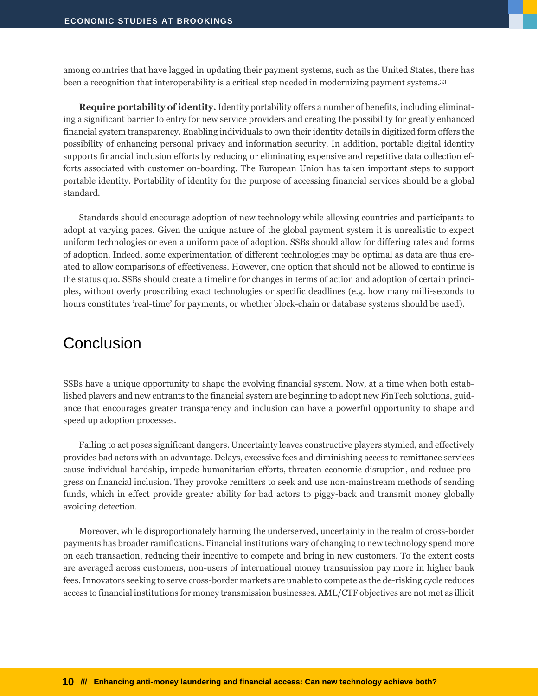among countries that have lagged in updating their payment systems, such as the United States, there has been a recognition that interoperability is a critical step needed in modernizing payment systems.<sup>33</sup>

**Require portability of identity.** Identity portability offers a number of benefits, including eliminating a significant barrier to entry for new service providers and creating the possibility for greatly enhanced financial system transparency. Enabling individuals to own their identity details in digitized form offers the possibility of enhancing personal privacy and information security. In addition, portable digital identity supports financial inclusion efforts by reducing or eliminating expensive and repetitive data collection efforts associated with customer on-boarding. The European Union has taken important steps to support portable identity. Portability of identity for the purpose of accessing financial services should be a global standard.

Standards should encourage adoption of new technology while allowing countries and participants to adopt at varying paces. Given the unique nature of the global payment system it is unrealistic to expect uniform technologies or even a uniform pace of adoption. SSBs should allow for differing rates and forms of adoption. Indeed, some experimentation of different technologies may be optimal as data are thus created to allow comparisons of effectiveness. However, one option that should not be allowed to continue is the status quo. SSBs should create a timeline for changes in terms of action and adoption of certain principles, without overly proscribing exact technologies or specific deadlines (e.g. how many milli-seconds to hours constitutes 'real-time' for payments, or whether block-chain or database systems should be used).

#### <span id="page-11-0"></span>**Conclusion**

SSBs have a unique opportunity to shape the evolving financial system. Now, at a time when both established players and new entrants to the financial system are beginning to adopt new FinTech solutions, guidance that encourages greater transparency and inclusion can have a powerful opportunity to shape and speed up adoption processes.

Failing to act poses significant dangers. Uncertainty leaves constructive players stymied, and effectively provides bad actors with an advantage. Delays, excessive fees and diminishing access to remittance services cause individual hardship, impede humanitarian efforts, threaten economic disruption, and reduce progress on financial inclusion. They provoke remitters to seek and use non-mainstream methods of sending funds, which in effect provide greater ability for bad actors to piggy-back and transmit money globally avoiding detection.

Moreover, while disproportionately harming the underserved, uncertainty in the realm of cross-border payments has broader ramifications. Financial institutions wary of changing to new technology spend more on each transaction, reducing their incentive to compete and bring in new customers. To the extent costs are averaged across customers, non-users of international money transmission pay more in higher bank fees. Innovators seeking to serve cross-border markets are unable to compete as the de-risking cycle reduces access to financial institutions for money transmission businesses. AML/CTF objectives are not met as illicit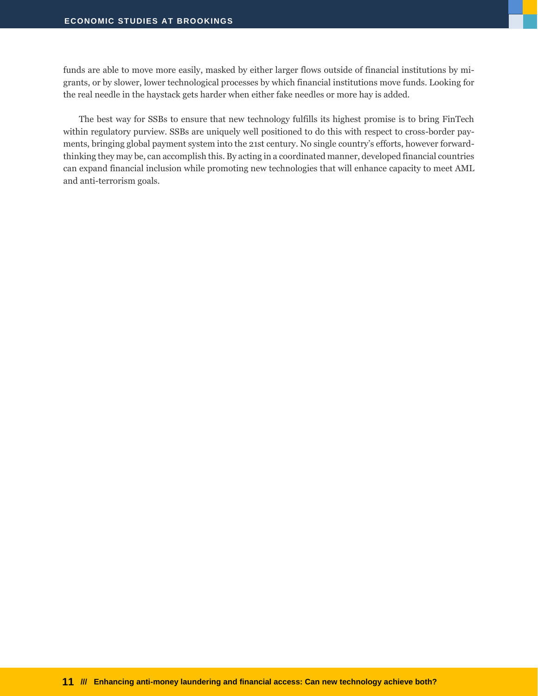funds are able to move more easily, masked by either larger flows outside of financial institutions by migrants, or by slower, lower technological processes by which financial institutions move funds. Looking for the real needle in the haystack gets harder when either fake needles or more hay is added.

The best way for SSBs to ensure that new technology fulfills its highest promise is to bring FinTech within regulatory purview. SSBs are uniquely well positioned to do this with respect to cross-border payments, bringing global payment system into the 21st century. No single country's efforts, however forwardthinking they may be, can accomplish this. By acting in a coordinated manner, developed financial countries can expand financial inclusion while promoting new technologies that will enhance capacity to meet AML and anti-terrorism goals.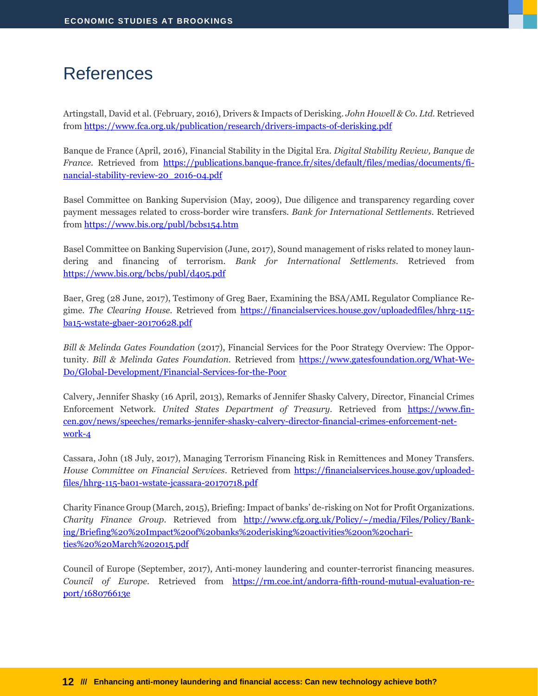## <span id="page-13-0"></span>References

Artingstall, David et al. (February, 2016), Drivers & Impacts of Derisking. *John Howell & Co. Ltd.* Retrieved from<https://www.fca.org.uk/publication/research/drivers-impacts-of-derisking.pdf>

Banque de France (April, 2016), Financial Stability in the Digital Era. *Digital Stability Review, Banque de France.* Retrieved from [https://publications.banque-france.fr/sites/default/files/medias/documents/fi](https://publications.banque-france.fr/sites/default/files/medias/documents/financial-stability-review-20_2016-04.pdf)[nancial-stability-review-20\\_2016-04.pdf](https://publications.banque-france.fr/sites/default/files/medias/documents/financial-stability-review-20_2016-04.pdf)

Basel Committee on Banking Supervision (May, 2009), Due diligence and transparency regarding cover payment messages related to cross-border wire transfers. *Bank for International Settlements.* Retrieved from<https://www.bis.org/publ/bcbs154.htm>

Basel Committee on Banking Supervision (June, 2017), Sound management of risks related to money laundering and financing of terrorism. *Bank for International Settlements.* Retrieved from <https://www.bis.org/bcbs/publ/d405.pdf>

Baer, Greg (28 June, 2017), Testimony of Greg Baer, Examining the BSA/AML Regulator Compliance Regime. *The Clearing House*. Retrieved from [https://financialservices.house.gov/uploadedfiles/hhrg-115](https://financialservices.house.gov/uploadedfiles/hhrg-115-ba15-wstate-gbaer-20170628.pdf) [ba15-wstate-gbaer-20170628.pdf](https://financialservices.house.gov/uploadedfiles/hhrg-115-ba15-wstate-gbaer-20170628.pdf)

*Bill & Melinda Gates Foundation* (2017), Financial Services for the Poor Strategy Overview: The Opportunity. *Bill & Melinda Gates Foundation.* Retrieved from [https://www.gatesfoundation.org/What-We-](https://www.gatesfoundation.org/What-We-Do/Global-Development/Financial-Services-for-the-Poor)[Do/Global-Development/Financial-Services-for-the-Poor](https://www.gatesfoundation.org/What-We-Do/Global-Development/Financial-Services-for-the-Poor)

Calvery, Jennifer Shasky (16 April, 2013), Remarks of Jennifer Shasky Calvery, Director, Financial Crimes Enforcement Network. *United States Department of Treasury.* Retrieved from [https://www.fin](https://www.fincen.gov/news/speeches/remarks-jennifer-shasky-calvery-director-financial-crimes-enforcement-network-4)[cen.gov/news/speeches/remarks-jennifer-shasky-calvery-director-financial-crimes-enforcement-net](https://www.fincen.gov/news/speeches/remarks-jennifer-shasky-calvery-director-financial-crimes-enforcement-network-4)[work-4](https://www.fincen.gov/news/speeches/remarks-jennifer-shasky-calvery-director-financial-crimes-enforcement-network-4)

Cassara, John (18 July, 2017), Managing Terrorism Financing Risk in Remittences and Money Transfers*. House Committee on Financial Services*. Retrieved from [https://financialservices.house.gov/uploaded](https://financialservices.house.gov/uploadedfiles/hhrg-115-ba01-wstate-jcassara-20170718.pdf)[files/hhrg-115-ba01-wstate-jcassara-20170718.pdf](https://financialservices.house.gov/uploadedfiles/hhrg-115-ba01-wstate-jcassara-20170718.pdf)

Charity Finance Group (March, 2015), Briefing: Impact of banks' de-risking on Not for Profit Organizations. *Charity Finance Group.* Retrieved from [http://www.cfg.org.uk/Policy/~/media/Files/Policy/Bank](http://www.cfg.org.uk/Policy/~/media/Files/Policy/Banking/Briefing%20%20Impact%20of%20banks%20derisking%20activities%20on%20charities%20%20March%202015.pdf)[ing/Briefing%20%20Impact%20of%20banks%20derisking%20activities%20on%20chari](http://www.cfg.org.uk/Policy/~/media/Files/Policy/Banking/Briefing%20%20Impact%20of%20banks%20derisking%20activities%20on%20charities%20%20March%202015.pdf)[ties%20%20March%202015.pdf](http://www.cfg.org.uk/Policy/~/media/Files/Policy/Banking/Briefing%20%20Impact%20of%20banks%20derisking%20activities%20on%20charities%20%20March%202015.pdf)

Council of Europe (September, 2017), Anti-money laundering and counter-terrorist financing measures. *Council of Europe.* Retrieved from [https://rm.coe.int/andorra-fifth-round-mutual-evaluation-re](https://rm.coe.int/andorra-fifth-round-mutual-evaluation-report/168076613e)[port/168076613e](https://rm.coe.int/andorra-fifth-round-mutual-evaluation-report/168076613e)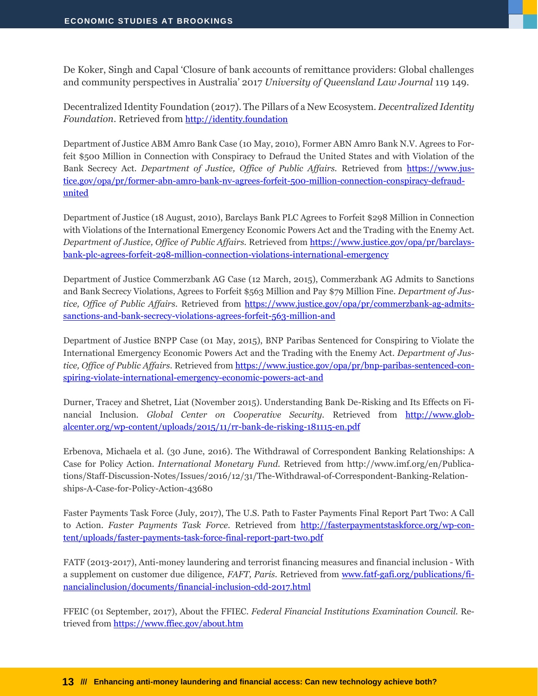De Koker, Singh and Capal 'Closure of bank accounts of remittance providers: Global challenges and community perspectives in Australia' 2017 *University of Queensland Law Journal* 119 149.

Decentralized Identity Foundation (2017). The Pillars of a New Ecosystem. *Decentralized Identity Foundation.* Retrieved from [http://identity.foundation](http://identity.foundation/)

Department of Justice ABM Amro Bank Case (10 May, 2010), Former ABN Amro Bank N.V. Agrees to Forfeit \$500 Million in Connection with Conspiracy to Defraud the United States and with Violation of the Bank Secrecy Act. *Department of Justice, Office of Public Affairs.* Retrieved from [https://www.jus](https://www.justice.gov/opa/pr/former-abn-amro-bank-nv-agrees-forfeit-500-million-connection-conspiracy-defraud-united)[tice.gov/opa/pr/former-abn-amro-bank-nv-agrees-forfeit-500-million-connection-conspiracy-defraud](https://www.justice.gov/opa/pr/former-abn-amro-bank-nv-agrees-forfeit-500-million-connection-conspiracy-defraud-united)[united](https://www.justice.gov/opa/pr/former-abn-amro-bank-nv-agrees-forfeit-500-million-connection-conspiracy-defraud-united)

Department of Justice (18 August, 2010), Barclays Bank PLC Agrees to Forfeit \$298 Million in Connection with Violations of the International Emergency Economic Powers Act and the Trading with the Enemy Act. *Department of Justice, Office of Public Affairs.* Retrieved from [https://www.justice.gov/opa/pr/barclays](https://www.justice.gov/opa/pr/barclays-bank-plc-agrees-forfeit-298-million-connection-violations-international-emergency)[bank-plc-agrees-forfeit-298-million-connection-violations-international-emergency](https://www.justice.gov/opa/pr/barclays-bank-plc-agrees-forfeit-298-million-connection-violations-international-emergency)

Department of Justice Commerzbank AG Case (12 March, 2015), Commerzbank AG Admits to Sanctions and Bank Secrecy Violations, Agrees to Forfeit \$563 Million and Pay \$79 Million Fine. *Department of Justice, Office of Public Affairs.* Retrieved from [https://www.justice.gov/opa/pr/commerzbank-ag-admits](https://www.justice.gov/opa/pr/commerzbank-ag-admits-sanctions-and-bank-secrecy-violations-agrees-forfeit-563-million-and)[sanctions-and-bank-secrecy-violations-agrees-forfeit-563-million-and](https://www.justice.gov/opa/pr/commerzbank-ag-admits-sanctions-and-bank-secrecy-violations-agrees-forfeit-563-million-and)

Department of Justice BNPP Case (01 May, 2015), BNP Paribas Sentenced for Conspiring to Violate the International Emergency Economic Powers Act and the Trading with the Enemy Act. *Department of Justice, Office of Public Affairs.* Retrieved from [https://www.justice.gov/opa/pr/bnp-paribas-sentenced-con](https://www.justice.gov/opa/pr/bnp-paribas-sentenced-conspiring-violate-international-emergency-economic-powers-act-and)[spiring-violate-international-emergency-economic-powers-act-and](https://www.justice.gov/opa/pr/bnp-paribas-sentenced-conspiring-violate-international-emergency-economic-powers-act-and)

Durner, Tracey and Shetret, Liat (November 2015). Understanding Bank De-Risking and Its Effects on Financial Inclusion. *Global Center on Cooperative Security.* Retrieved from [http://www.glob](http://www.globalcenter.org/wp-content/uploads/2015/11/rr-bank-de-risking-181115-en.pdf)[alcenter.org/wp-content/uploads/2015/11/rr-bank-de-risking-181115-en.pdf](http://www.globalcenter.org/wp-content/uploads/2015/11/rr-bank-de-risking-181115-en.pdf)

Erbenova, Michaela et al. (30 June, 2016). The Withdrawal of Correspondent Banking Relationships: A Case for Policy Action. *International Monetary Fund.* Retrieved from http://www.imf.org/en/Publications/Staff-Discussion-Notes/Issues/2016/12/31/The-Withdrawal-of-Correspondent-Banking-Relationships-A-Case-for-Policy-Action-43680

Faster Payments Task Force (July, 2017), The U.S. Path to Faster Payments Final Report Part Two: A Call to Action. *Faster Payments Task Force.* Retrieved from [http://fasterpaymentstaskforce.org/wp-con](http://fasterpaymentstaskforce.org/wp-content/uploads/faster-payments-task-force-final-report-part-two.pdf)[tent/uploads/faster-payments-task-force-final-report-part-two.pdf](http://fasterpaymentstaskforce.org/wp-content/uploads/faster-payments-task-force-final-report-part-two.pdf)

FATF (2013-2017), Anti-money laundering and terrorist financing measures and financial inclusion - With a supplement on customer due diligence, *FAFT, Paris.* Retrieved from [www.fatf-gafi.org/publications/fi](http://www.fatf-gafi.org/publications/financialinclusion/documents/financial-inclusion-cdd-2017.html)[nancialinclusion/documents/financial-inclusion-cdd-2017.html](http://www.fatf-gafi.org/publications/financialinclusion/documents/financial-inclusion-cdd-2017.html)

FFEIC (01 September, 2017), About the FFIEC. *Federal Financial Institutions Examination Council.* Retrieved from<https://www.ffiec.gov/about.htm>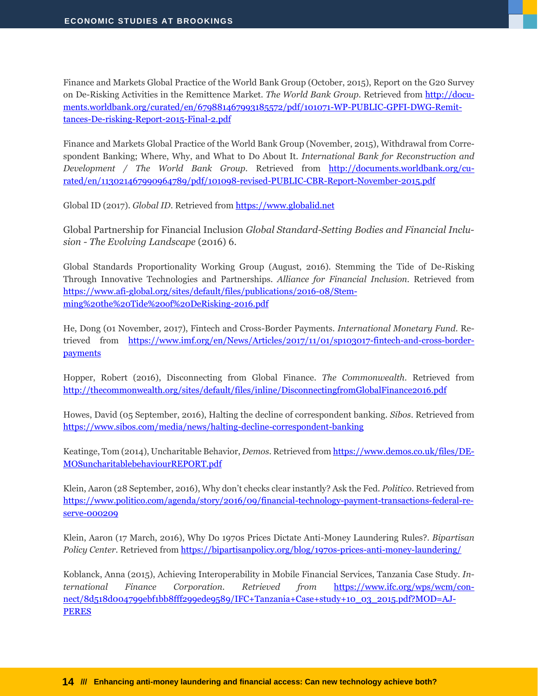Finance and Markets Global Practice of the World Bank Group (October, 2015), Report on the G20 Survey on De-Risking Activities in the Remittence Market. *The World Bank Group.* Retrieved from [http://docu](http://documents.worldbank.org/curated/en/679881467993185572/pdf/101071-WP-PUBLIC-GPFI-DWG-Remittances-De-risking-Report-2015-Final-2.pdf)[ments.worldbank.org/curated/en/679881467993185572/pdf/101071-WP-PUBLIC-GPFI-DWG-Remit](http://documents.worldbank.org/curated/en/679881467993185572/pdf/101071-WP-PUBLIC-GPFI-DWG-Remittances-De-risking-Report-2015-Final-2.pdf)[tances-De-risking-Report-2015-Final-2.pdf](http://documents.worldbank.org/curated/en/679881467993185572/pdf/101071-WP-PUBLIC-GPFI-DWG-Remittances-De-risking-Report-2015-Final-2.pdf)

Finance and Markets Global Practice of the World Bank Group (November, 2015), Withdrawal from Correspondent Banking; Where, Why, and What to Do About It. *International Bank for Reconstruction and Development / The World Bank Group.* Retrieved from [http://documents.worldbank.org/cu](http://documents.worldbank.org/curated/en/113021467990964789/pdf/101098-revised-PUBLIC-CBR-Report-November-2015.pdf)[rated/en/113021467990964789/pdf/101098-revised-PUBLIC-CBR-Report-November-2015.pdf](http://documents.worldbank.org/curated/en/113021467990964789/pdf/101098-revised-PUBLIC-CBR-Report-November-2015.pdf)

Global ID (2017). *Global ID*. Retrieved fro[m https://www.globalid.net](https://www.globalid.net/)

Global Partnership for Financial Inclusion *Global Standard-Setting Bodies and Financial Inclusion - The Evolving Landscape* (2016) 6.

Global Standards Proportionality Working Group (August, 2016). Stemming the Tide of De-Risking Through Innovative Technologies and Partnerships. *Alliance for Financial Inclusion.* Retrieved from [https://www.afi-global.org/sites/default/files/publications/2016-08/Stem](https://www.afi-global.org/sites/default/files/publications/2016-08/Stemming%20the%20Tide%20of%20DeRisking-2016.pdf)[ming%20the%20Tide%20of%20DeRisking-2016.pdf](https://www.afi-global.org/sites/default/files/publications/2016-08/Stemming%20the%20Tide%20of%20DeRisking-2016.pdf)

He, Dong (01 November, 2017), Fintech and Cross-Border Payments. *International Monetary Fund.* Retrieved from [https://www.imf.org/en/News/Articles/2017/11/01/sp103017-fintech-and-cross-border](https://www.imf.org/en/News/Articles/2017/11/01/sp103017-fintech-and-cross-border-payments)[payments](https://www.imf.org/en/News/Articles/2017/11/01/sp103017-fintech-and-cross-border-payments)

Hopper, Robert (2016), Disconnecting from Global Finance. *The Commonwealth.* Retrieved from <http://thecommonwealth.org/sites/default/files/inline/DisconnectingfromGlobalFinance2016.pdf>

Howes, David (05 September, 2016), Halting the decline of correspondent banking. *Sibos*. Retrieved from <https://www.sibos.com/media/news/halting-decline-correspondent-banking>

Keatinge, Tom (2014), Uncharitable Behavior, *Demos.* Retrieved fro[m https://www.demos.co.uk/files/DE-](https://www.demos.co.uk/files/DEMOSuncharitablebehaviourREPORT.pdf)[MOSuncharitablebehaviourREPORT.pdf](https://www.demos.co.uk/files/DEMOSuncharitablebehaviourREPORT.pdf)

Klein, Aaron (28 September, 2016), Why don't checks clear instantly? Ask the Fed. *Politico.* Retrieved from [https://www.politico.com/agenda/story/2016/09/financial-technology-payment-transactions-federal-re](https://www.politico.com/agenda/story/2016/09/financial-technology-payment-transactions-federal-reserve-000209)[serve-000209](https://www.politico.com/agenda/story/2016/09/financial-technology-payment-transactions-federal-reserve-000209)

Klein, Aaron (17 March, 2016), Why Do 1970s Prices Dictate Anti-Money Laundering Rules?. *Bipartisan Policy Center*. Retrieved from<https://bipartisanpolicy.org/blog/1970s-prices-anti-money-laundering/>

Koblanck, Anna (2015), Achieving Interoperability in Mobile Financial Services, Tanzania Case Study. *International Finance Corporation. Retrieved from* [https://www.ifc.org/wps/wcm/con](https://www.ifc.org/wps/wcm/connect/8d518d004799ebf1bb8fff299ede9589/IFC+Tanzania+Case+study+10_03_2015.pdf?MOD=AJPERES)[nect/8d518d004799ebf1bb8fff299ede9589/IFC+Tanzania+Case+study+10\\_03\\_2015.pdf?MOD=AJ-](https://www.ifc.org/wps/wcm/connect/8d518d004799ebf1bb8fff299ede9589/IFC+Tanzania+Case+study+10_03_2015.pdf?MOD=AJPERES)[PERES](https://www.ifc.org/wps/wcm/connect/8d518d004799ebf1bb8fff299ede9589/IFC+Tanzania+Case+study+10_03_2015.pdf?MOD=AJPERES)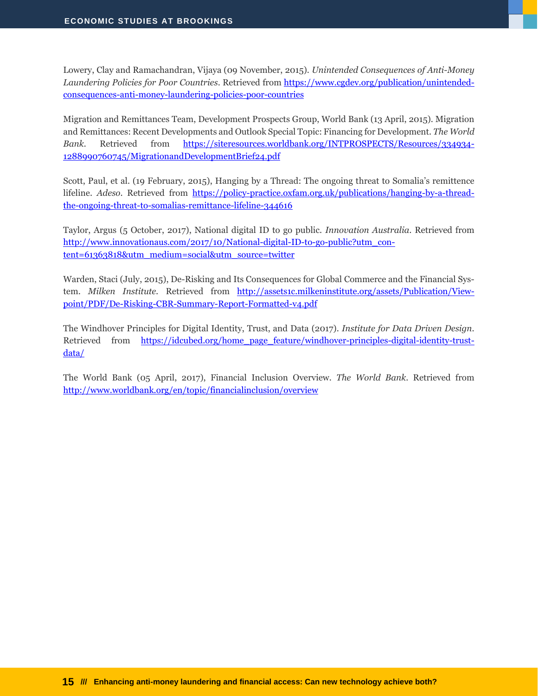Lowery, Clay and Ramachandran, Vijaya (09 November, 2015). *Unintended Consequences of Anti-Money Laundering Policies for Poor Countries*. Retrieved from [https://www.cgdev.org/publication/unintended](https://www.cgdev.org/publication/unintended-consequences-anti-money-laundering-policies-poor-countries)[consequences-anti-money-laundering-policies-poor-countries](https://www.cgdev.org/publication/unintended-consequences-anti-money-laundering-policies-poor-countries)

Migration and Remittances Team, Development Prospects Group, World Bank (13 April, 2015). Migration and Remittances: Recent Developments and Outlook Special Topic: Financing for Development. *The World Bank.* Retrieved from [https://siteresources.worldbank.org/INTPROSPECTS/Resources/334934-](https://siteresources.worldbank.org/INTPROSPECTS/Resources/334934-1288990760745/MigrationandDevelopmentBrief24.pdf) [1288990760745/MigrationandDevelopmentBrief24.pdf](https://siteresources.worldbank.org/INTPROSPECTS/Resources/334934-1288990760745/MigrationandDevelopmentBrief24.pdf)

Scott, Paul, et al. (19 February, 2015), Hanging by a Thread: The ongoing threat to Somalia's remittence lifeline. *Adeso*. Retrieved from [https://policy-practice.oxfam.org.uk/publications/hanging-by-a-thread](https://policy-practice.oxfam.org.uk/publications/hanging-by-a-thread-the-ongoing-threat-to-somalias-remittance-lifeline-344616)[the-ongoing-threat-to-somalias-remittance-lifeline-344616](https://policy-practice.oxfam.org.uk/publications/hanging-by-a-thread-the-ongoing-threat-to-somalias-remittance-lifeline-344616)

Taylor, Argus (5 October, 2017), National digital ID to go public. *Innovation Australia.* Retrieved from [http://www.innovationaus.com/2017/10/National-digital-ID-to-go-public?utm\\_con](http://www.innovationaus.com/2017/10/National-digital-ID-to-go-public?utm_content=61363818&utm_medium=social&utm_source=twitter)[tent=61363818&utm\\_medium=social&utm\\_source=twitter](http://www.innovationaus.com/2017/10/National-digital-ID-to-go-public?utm_content=61363818&utm_medium=social&utm_source=twitter)

Warden, Staci (July, 2015), De-Risking and Its Consequences for Global Commerce and the Financial System. *Milken Institute.* Retrieved from [http://assets1c.milkeninstitute.org/assets/Publication/View](http://assets1c.milkeninstitute.org/assets/Publication/Viewpoint/PDF/De-Risking-CBR-Summary-Report-Formatted-v4.pdf)[point/PDF/De-Risking-CBR-Summary-Report-Formatted-v4.pdf](http://assets1c.milkeninstitute.org/assets/Publication/Viewpoint/PDF/De-Risking-CBR-Summary-Report-Formatted-v4.pdf)

The Windhover Principles for Digital Identity, Trust, and Data (2017). *Institute for Data Driven Design*. Retrieved from [https://idcubed.org/home\\_page\\_feature/windhover-principles-digital-identity-trust](https://idcubed.org/home_page_feature/windhover-principles-digital-identity-trust-data/)[data/](https://idcubed.org/home_page_feature/windhover-principles-digital-identity-trust-data/)

The World Bank (05 April, 2017), Financial Inclusion Overview. *The World Bank*. Retrieved from <http://www.worldbank.org/en/topic/financialinclusion/overview>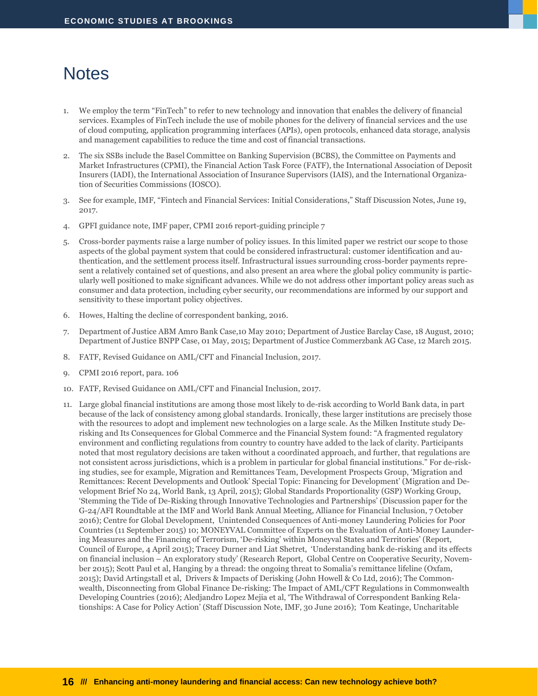## <span id="page-17-0"></span>**Notes**

- We employ the term "FinTech" to refer to new technology and innovation that enables the delivery of financial services. Examples of FinTech include the use of mobile phones for the delivery of financial services and the use of cloud computing, application programming interfaces (APIs), open protocols, enhanced data storage, analysis and management capabilities to reduce the time and cost of financial transactions.
- 2. The six SSBs include the Basel Committee on Banking Supervision (BCBS), the Committee on Payments and Market Infrastructures (CPMI), the Financial Action Task Force (FATF), the International Association of Deposit Insurers (IADI), the International Association of Insurance Supervisors (IAIS), and the International Organization of Securities Commissions (IOSCO).
- 3. See for example, IMF, "Fintech and Financial Services: Initial Considerations," Staff Discussion Notes, June 19, 2017.
- 4. GPFI guidance note, IMF paper, CPMI 2016 report-guiding principle 7
- 5. Cross-border payments raise a large number of policy issues. In this limited paper we restrict our scope to those aspects of the global payment system that could be considered infrastructural: customer identification and authentication, and the settlement process itself. Infrastructural issues surrounding cross-border payments represent a relatively contained set of questions, and also present an area where the global policy community is particularly well positioned to make significant advances. While we do not address other important policy areas such as consumer and data protection, including cyber security, our recommendations are informed by our support and sensitivity to these important policy objectives.
- 6. Howes, Halting the decline of correspondent banking, 2016.
- 7. Department of Justice ABM Amro Bank Case,10 May 2010; Department of Justice Barclay Case, 18 August, 2010; Department of Justice BNPP Case, 01 May, 2015; Department of Justice Commerzbank AG Case, 12 March 2015.
- 8. FATF, Revised Guidance on AML/CFT and Financial Inclusion, 2017.
- 9. CPMI 2016 report, para. 106
- 10. FATF, Revised Guidance on AML/CFT and Financial Inclusion, 2017.
- 11. Large global financial institutions are among those most likely to de-risk according to World Bank data, in part because of the lack of consistency among global standards. Ironically, these larger institutions are precisely those with the resources to adopt and implement new technologies on a large scale. As the Milken Institute stud[y De](mailto:http%25252525253A//assets1c.milkeninstitute.org/assets/Publication/Viewpoint/PDF/De-Risking-CBR-Summary-Report-Formatted-v4.pdf)[risking and Its Consequences for Global Commerce and the Financial System](mailto:http%25252525253A//assets1c.milkeninstitute.org/assets/Publication/Viewpoint/PDF/De-Risking-CBR-Summary-Report-Formatted-v4.pdf) found: "A fragmented regulatory environment and conflicting regulations from country to country have added to the lack of clarity. Participants noted that most regulatory decisions are taken without a coordinated approach, and further, that regulations are not consistent across jurisdictions, which is a problem in particular for global financial institutions." For de-risking studies, see for example, Migration and Remittances Team, Development Prospects Group, 'Migration and Remittances: Recent Developments and Outlook' Special Topic: Financing for Development' (Migration and Development Brief No 24, World Bank, 13 April, 2015); Global Standards Proportionality (GSP) Working Group, 'Stemming the Tide of De-Risking through Innovative Technologies and Partnerships' (Discussion paper for the G-24/AFI Roundtable at the IMF and World Bank Annual Meeting, Alliance for Financial Inclusion, 7 October 2016); Centre for Global Development, Unintended Consequences of Anti-money Laundering Policies for Poor Countries (11 September 2015) 10; MONEYVAL Committee of Experts on the Evaluation of Anti-Money Laundering Measures and the Financing of Terrorism, 'De-risking' within Moneyval States and Territories' (Report, Council of Europe, 4 April 2015); Tracey Durner and Liat Shetret, 'Understanding bank de-risking and its effects on financial inclusion – An exploratory study' (Research Report, Global Centre on Cooperative Security, November 2015); Scott Paul et al, Hanging by a thread: the ongoing threat to Somalia's remittance lifeline (Oxfam, 2015); David Artingstall et al, Drivers & Impacts of Derisking (John Howell & Co Ltd, 2016); The Commonwealth, Disconnecting from Global Finance De-risking: The Impact of AML/CFT Regulations in Commonwealth Developing Countries (2016); Aledjandro Lopez Mejia et al, 'The Withdrawal of Correspondent Banking Relationships: A Case for Policy Action' (Staff Discussion Note, IMF, 30 June 2016); Tom Keatinge, Uncharitable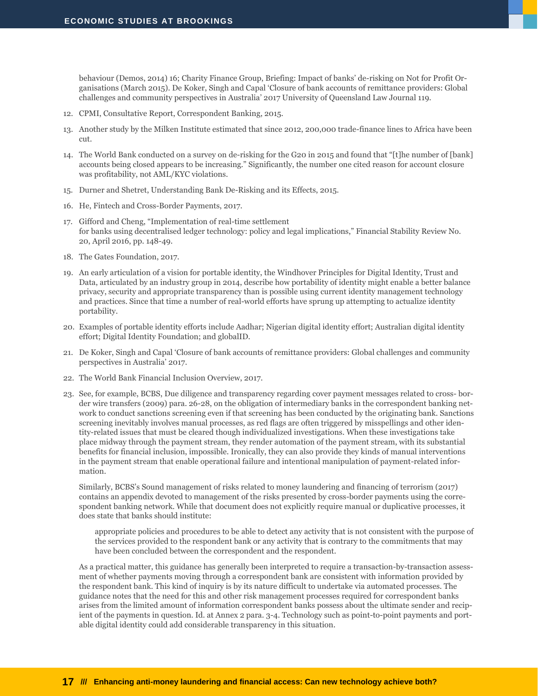behaviour (Demos, 2014) 16; Charity Finance Group, Briefing: Impact of banks' de-risking on Not for Profit Organisations (March 2015). De Koker, Singh and Capal 'Closure of bank accounts of remittance providers: Global challenges and community perspectives in Australia' 2017 University of Queensland Law Journal 119.

- 12. CPMI, Consultative Report, Correspondent Banking, 2015.
- 13. Another study by the Milken Institute estimated that since 2012, 200,000 trade-finance lines to Africa have been cut.
- 14. The World Bank conducted on a [survey on de-risking](mailto:http%25252525253A//documents.worldbank.org/curated/en/679881467993185572/pdf/101071-WP-PUBLIC-GPFI-DWG-Remittances-De-risking-Report-2015-Final-2.pdf) for the G20 in 2015 and found that "[t]he number of [bank] accounts being closed appears to be increasing." Significantly, the number one cited reason for account closure was profitability, not AML/KYC violations.
- 15. Durner and Shetret, Understanding Bank De-Risking and its Effects, 2015.
- 16. He, Fintech and Cross-Border Payments, 2017.
- 17. Gifford and Cheng, "Implementation of real-time settlement for banks using decentralised ledger technology: policy and legal implications," Financial Stability Review No. 20, April 2016, pp. 148-49.
- 18. The Gates Foundation, 2017.
- 19. An early articulation of a vision for portable identity, th[e Windhover Principles for Digital Identity, Trust and](https://idcubed.org/home_page_feature/windhover-principles-digital-identity-trust-data/)  [Data,](https://idcubed.org/home_page_feature/windhover-principles-digital-identity-trust-data/) articulated by an industry group in 2014, describe how portability of identity might enable a better balance privacy, security and appropriate transparency than is possible using current identity management technology and practices. Since that time a number of real-world efforts have sprung up attempting to actualize identity portability.
- 20. Examples of portable identity efforts include Aadhar; Nigerian digital identity effort; Australian digital identity effort; Digital Identity Foundation; and globalID.
- 21. De Koker, Singh and Capal 'Closure of bank accounts of remittance providers: Global challenges and community perspectives in Australia' 2017.
- 22. The World Bank Financial Inclusion Overview, 2017.
- 23. See, for example, BCBS, Due diligence and transparency regarding cover payment messages related to cross- border wire transfers (2009) para. 26-28, on the obligation of intermediary banks in the correspondent banking network to conduct sanctions screening even if that screening has been conducted by the originating bank. Sanctions screening inevitably involves manual processes, as red flags are often triggered by misspellings and other identity-related issues that must be cleared though individualized investigations. When these investigations take place midway through the payment stream, they render automation of the payment stream, with its substantial benefits for financial inclusion, impossible. Ironically, they can also provide they kinds of manual interventions in the payment stream that enable operational failure and intentional manipulation of payment-related information.

Similarly, BCBS's Sound management of risks related to money laundering and financing of terrorism (2017) contains an appendix devoted to management of the risks presented by cross-border payments using the correspondent banking network. While that document does not explicitly require manual or duplicative processes, it does state that banks should institute:

appropriate policies and procedures to be able to detect any activity that is not consistent with the purpose of the services provided to the respondent bank or any activity that is contrary to the commitments that may have been concluded between the correspondent and the respondent.

As a practical matter, this guidance has generally been interpreted to require a transaction-by-transaction assessment of whether payments moving through a correspondent bank are consistent with information provided by the respondent bank. This kind of inquiry is by its nature difficult to undertake via automated processes. The guidance notes that the need for this and other risk management processes required for correspondent banks arises from the limited amount of information correspondent banks possess about the ultimate sender and recipient of the payments in question. Id. at Annex 2 para. 3-4. Technology such as point-to-point payments and portable digital identity could add considerable transparency in this situation.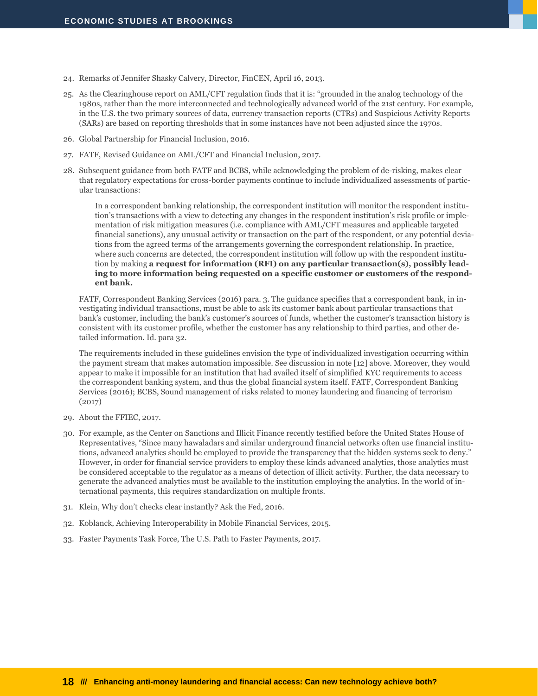- 24. Remarks of Jennifer Shasky Calvery, Director, FinCEN, April 16, 2013.
- 25. [As the Clearinghouse report](mailto:https%25252525253A//www.theclearinghouse.org/~/media/TCH/Documents/TCH%25252525252520WEEKLY/2017/20170216_TCH_Report_AML_CFT_Framework_Redesign.pdf) on AML/CFT regulation finds that it is: "grounded in the analog technology of the 1980s, rather than the more interconnected and technologically advanced world of the 21st century. For example, in the U.S. the two primary sources of data, currency transaction reports (CTRs) and Suspicious Activity Reports (SARs) are based on reporting thresholds that in some instances have not [been adjusted since the 1970s.](mailto:https%25252525253A//bipartisanpolicy.org/blog/1970s-prices-anti-money-laundering/)
- 26. Global Partnership for Financial Inclusion, 2016.
- 27. FATF, Revised Guidance on AML/CFT and Financial Inclusion, 2017.
- 28. Subsequent guidance from both FATF and BCBS, while acknowledging the problem of de-risking, makes clear that regulatory expectations for cross-border payments continue to include individualized assessments of particular transactions:

In a correspondent banking relationship, the correspondent institution will monitor the respondent institution's transactions with a view to detecting any changes in the respondent institution's risk profile or implementation of risk mitigation measures (i.e. compliance with AML/CFT measures and applicable targeted financial sanctions), any unusual activity or transaction on the part of the respondent, or any potential deviations from the agreed terms of the arrangements governing the correspondent relationship. In practice, where such concerns are detected, the correspondent institution will follow up with the respondent institution by making **a request for information (RFI) on any particular transaction(s), possibly leading to more information being requested on a specific customer or customers of the respondent bank.**

FATF, Correspondent Banking Services (2016) para. 3. The guidance specifies that a correspondent bank, in investigating individual transactions, must be able to ask its customer bank about particular transactions that bank's customer, including the bank's customer's sources of funds, whether the customer's transaction history is consistent with its customer profile, whether the customer has any relationship to third parties, and other detailed information. Id. para 32.

The requirements included in these guidelines envision the type of individualized investigation occurring within the payment stream that makes automation impossible. See discussion in note [12] above. Moreover, they would appear to make it impossible for an institution that had availed itself of simplified KYC requirements to access the correspondent banking system, and thus the global financial system itself. FATF, Correspondent Banking Services (2016); BCBS, [Sound management of risks related to money laundering and financing of terrorism](http://www.bis.org/bcbs/publ/d405.pdf) (2017)

- 29. About the FFIEC, 2017.
- 30. For example, as th[e Center on Sanctions and Illicit Finance recently testified](mailto:https%25252525253A//financialservices.house.gov/UploadedFiles/HHRG-115-BA01-WState-JCassara-20170718.pdf) before the United States House of Representatives, "Since many hawaladars and similar underground financial networks often use financial institutions, advanced analytics should be employed to provide the transparency that the hidden systems seek to deny." However, in order for financial service providers to employ these kinds advanced analytics, those analytics must be considered acceptable to the regulator as a means of detection of illicit activity. Further, the data necessary to generate the advanced analytics must be available to the institution employing the analytics. In the world of international payments, this requires standardization on multiple fronts.
- 31. Klein, Why don't checks clear instantly? Ask the Fed, 2016.
- 32. Koblanck, Achieving Interoperability in Mobile Financial Services, 2015.
- 33. Faster Payments Task Force, The U.S. Path to Faster Payments, 2017.